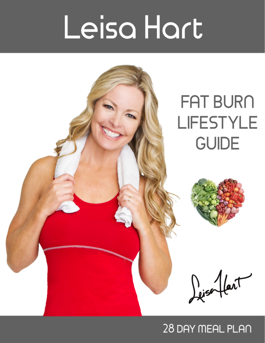# Leisa Hart

# **FAT BURN LIFESTYLE GUIDE** Dejsonflant

# 28 DAY MEAL PLAN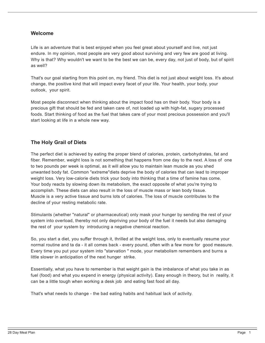# **Welcome**

Life is an adventure that is best enjoyed when you feel great about yourself and live, not just endure. In my opinion, most people are very good about surviving and very few are good at living. Why is that? Why wouldn't we want to be the best we can be, every day, not just of body, but of spirit as well?

That's our goal starting from this point on, my friend. This diet is not just about weight loss. It's about change, the positive kind that will impact every facet of your life. Your health, your body, your outlook, your spirit.

Most people disconnect when thinking about the impact food has on their body. Your body is a precious gift that should be fed and taken care of, not loaded up with high-fat, sugary processed foods. Start thinking of food as the fuel that takes care of your most precious possession and you'll start looking at life in a whole new way.

# **The Holy Grail of Diets**

The perfect diet is achieved by eating the proper blend of calories, protein, carbohydrates, fat and fiber. Remember, weight loss is not something that happens from one day to the next. A loss of one to two pounds per week is optimal, as it will allow you to maintain lean muscle as you shed unwanted body fat. Common "extreme"diets deprive the body of calories that can lead to improper weight loss. Very low-calorie diets trick your body into thinking that a time of famine has come. Your body reacts by slowing down its metabolism, the exact opposite of what you're trying to accomplish. These diets can also result in the loss of muscle mass or lean body tissue. Muscle is a very active tissue and burns lots of calories. The loss of muscle contributes to the decline of your resting metabolic rate.

Stimulants (whether "natural" or pharmaceutical) only mask your hunger by sending the rest of your system into overload, thereby not only depriving your body of the fuel it needs but also damaging the rest of your system by introducing a negative chemical reaction.

So, you start a diet, you suffer through it, thrilled at the weight loss, only to eventually resume your normal routine and ta da - it all comes back - every pound, often with a few more for good measure. Every time you put your system into "starvation " mode, your metabolism remembers and burns a little slower in anticipation of the next hunger strike.

Essentially, what you have to remember is that weight gain is the imbalance of what you take in as fuel (food) and what you expend in energy (physical activity). Easy enough in theory, but in reality, it can be a little tough when working a desk job and eating fast food all day.

That's what needs to change - the bad eating habits and habitual lack of activity.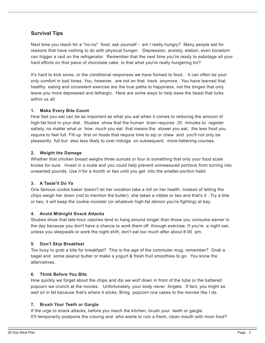# **Survival Tips**

Next time you reach for a "no-no" food, ask yourself - am I really hungry? Many people eat for reasons that have nothing to do with physical hunger. Depression, anxiety, elation, even boredom can trigger a raid on the refrigerator. Remember that the next time you're ready to sabotage all your hard efforts on that piece of chocolate cake. Is that what you're really hungering for?

It's hard to kick some, or the conditional responses we have formed to food. It can often be your only comfort in bad times. You, however, are not on that track anymore . You have learned that healthy eating and consistent exercise are the true paths to happiness, not the binges that only leave you more depressed and lethargic. Here are some ways to help ease the beast that lurks within us all:

#### **1. Make Every Bite Count**

How fast you eat can be as important as what you eat when it comes to reducing the amount of high-fat food in your diet. Studies show that the human brain requires 20 minutes to register satiety, no matter what or how much you eat that means the slower you eat, the less food you require to feel full. Fill up first on foods that require lime to sip or chew and you'll not only be pleasantly full but also less likely to over indulge on subsequent, more-fattening courses.

#### **2. Weight the Damage**

Whether that chicken breast weighs three ounces or four is something that only your food scale knows for sure . Invest in a scale and you could help prevent unmeasured portions from turning into unwanted pounds. Use it for a month or two until you get into the smaller-portion habit.

#### **3. A Taste'll Do Ya**

One famous cookie baker doesn't let her vocation take a toll on her health. Instead of letting the chips weigh her down (not to mention the butter), she takes a nibble or two and that's it . Try a bite or two; it will keep the cookie monster (or whatever high-fat demon you're fighting) at bay.

#### **4. Avoid Midnight Snack Attacks**

Studies show that late-hour calories tend to hang around longer than those you consume earner in the day because you don't have a chance to work them off through exercise. If you're a night owl, unless you sleepwalk or work the night shift, don't eat too much after about 8:00 pm.

#### **5. Don't Skip Breakfast**

Too busy to grab a bite for breakfast? This is the age of the commuter mug, remember? Grab a bagel and some peanut butter or make a yogurt & fresh fruit smoothies to go. You know the alternatives.

#### **6. Think Before You Bite**

How quickly we forget about the chips and dip we wolf down in front of the tube or the battered popcorn we crunch at the movies. Unfortunately, your body never forgets. If fact, you might as well sit in fat because that's where it sticks. Bring popcorn rice cakes to the movies like I do.

#### **7. Brush Your Teeth or Gargle**

If the urge to snack attacks, before you reach the kitchen, brush your teeth or gargle. It'll temporarily postpone the craving and who wants to ruin a fresh, clean mouth with mom food?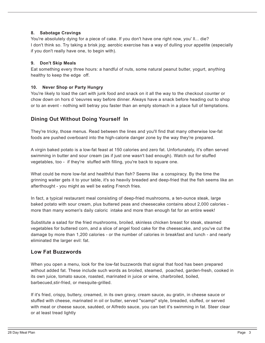#### **8. Sabotage Cravings**

You're absolutely dying for a piece of cake. If you don't have one right now, you' ll... die? I don't think so. Try taking a brisk jog; aerobic exercise has a way of dulling your appetite (especially if you don't really have one, to begin with).

# **9. Don't Skip Meals**

Eat something every three hours: a handful of nuts, some natural peanut butter, yogurt, anything healthy to keep the edge off.

#### **10. Never Shop or Party Hungry**

You're likely to load the cart with junk food and snack on it all the way to the checkout counter or chow down on hors d 'oeuvres way before dinner. Always have a snack before heading out to shop or to an event - nothing will betray you faster than an empty stomach in a place full of temptations.

# **Dining Out Without Doing Yourself In**

They're tricky, those menus. Read between the lines and you'll find that many otherwise low-fat foods are pushed overboard into the high-calorie danger zone by the way they're prepared.

A virgin baked potato is a low-fat feast at 150 calories and zero fat. Unfortunately, it's often served swimming in butter and sour cream (as if just one wasn't bad enough). Watch out for stuffed vegetables, too - if they're stuffed with filling, you're back to square one.

What could be more low-fat and healthful than fish? Seems like a conspiracy. By the time the grinning waiter gets it to your table, it's so heavily breaded and deep-fried that the fish seems like an afterthought - you might as well be eating French fries.

In fact, a typical restaurant meal consisting of deep-fried mushrooms, a ten-ounce steak, large baked potato with sour cream, plus buttered peas and cheesecake contains about 2,000 calories more than many women's daily caloric intake and more than enough fat for an entire week!

Substitute a salad for the fried mushrooms, broiled, skinless chicken breast for steak, steamed vegetables for buttered corn, and a slice of angel food cake for the cheesecake, and you've cut the damage by more than 1,200 calories - or the number of calories in breakfast and lunch - and nearly eliminated the larger evil: fat.

# **Low Fat Buzzwords**

When you open a menu, look for the low-fat buzzwords that signal that food has been prepared without added fat. These include such words as broiled, steamed, poached, garden-fresh, cooked in its own juice, tomato sauce, roasted, marinated in juice or wine, charbroiled, boiled, barbecued,stir-fried, or mesquite-grilled.

If it's fried, crispy, buttery, creamed, in its own gravy, cream sauce, au gratin, in cheese sauce or stuffed with cheese, marinated in oil or butter, served "scampi" style, breaded, stuffed, or served with meat or cheese sauce, sautéed, or Alfredo sauce, you can bet it's swimming in fat. Steer clear or at least tread lightly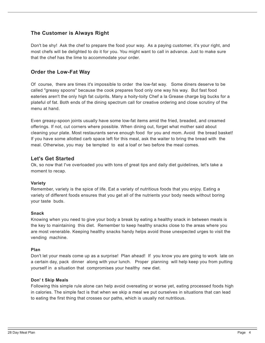# **The Customer is Always Right**

Don't be shy! Ask the chef to prepare the food your way. As a paying customer, it's your right, and most chefs will be delighted to do it for you. You might want to call in advance. Just to make sure that the chef has the lime to accommodate your order.

# **Order the Low-Fat Way**

Of course, there are times it's impossible to order the low-fat way. Some diners deserve to be called "greasy spoons" because the cook prepares food only one way his way. But fast food eateries aren't the only high fat culprits. Many a hoity-toity Chef a la Grease charge big bucks for a plateful of fat. Both ends of the dining spectrum call for creative ordering and close scrutiny of the menu at hand.

Even greasy-spoon joints usually have some low-fat items amid the fried, breaded, and creamed offerings. If not, cut corners where possible. When dining out, forget what mother said about cleaning your plate. Most restaurants serve enough food for you and mom. Avoid the bread basket! If you have some allotted carb space left for this meal, ask the waiter to bring the bread with the meal. Otherwise, you may be tempted to eat a loaf or two before the meal comes.

# **Let's Get Started**

Ok, so now that I've overloaded you with tons of great tips and daily diet guidelines, let's take a moment to recap.

#### **Variety**

Remember, variety is the spice of life. Eat a variety of nutritious foods that you enjoy. Eating a variety of different foods ensures that you get all of the nutrients your body needs without boring your taste buds.

#### **Snack**

Knowing when you need to give your body a break by eating a healthy snack in between meals is the key to maintaining this diet. Remember to keep healthy snacks close to the areas where you are most venerable. Keeping healthy snacks handy helps avoid those unexpected urges to visit the vending machine.

#### **Plan**

Don't let your meals come up as a surprise! Plan ahead! If you know you are going to work late on a certain day, pack dinner along with your lunch. Proper planning will help keep you from putting yourself in a situation that compromises your healthy new diet.

#### **Don' t Skip Meals**

Following this simple rule alone can help avoid overeating or worse yet, eating processed foods high in calories. The simple fact is that when we skip a meal we put ourselves in situations that can lead to eating the first thing that crosses our paths, which is usually not nutritious.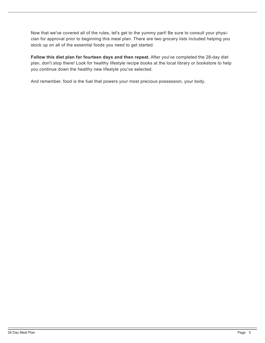Now that we've covered all of the rules, let's get to the yummy part! Be sure to consult your physician for approval prior to beginning this meal plan. There are two grocery lists included helping you stock up on all of the essential foods you need to get started.

**FoIIow this diet plan for fourteen days and then repeat.** After you've completed the 28-day diet plan, don't stop there! Look for healthy lifestyle recipe books at the local library or bookstore to help you continue down the healthy new lifestyle you've selected.

And remember, food is the fuel that powers your most precious possession, your body.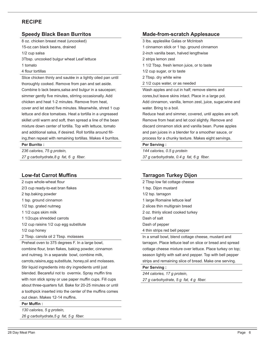# **RECIPE**

# **Speedy Black Bean Burritos**

8 oz. chicken breast meat (uncooked)

15-oz.can black beans, drained

1/2 cup salsa

3Tbsp. uncooked bulgur wheat Leaf lettuce

1 tomato

#### 4 flour tortillas

Slice chicken thinly and sautée in a lightly oiled pan until thoroughly cooked. Remove from pan and set aside. Combine b lack beans,salsa and bulgur in a saucepan; simmer gently five minutes, stirring occasionally. Add chicken and heat 1-2 minutes. Remove from heat, cover and let stand five minutes. Meanwhile, shred 1 cup lettuce and dice tomatoes. Heat a tortilla in a ungreased skillet until warm and soft, then spread a line of the bean mixture down center of tortilla. Top with lettuce, tomato and additional salsa, if desired. Roll tortilla around flling,then repeat with remaining tortillas. Makes 4 burritos.

#### **Per Burrito :**

*236 calories, 75 g protein, 27 g carbohydrate,8 g fat, 6 g fber.*

# **Low-fat Carrot Muffins**

2 cups whole-wheat flour 2/3 cup ready-to-eat bran fakes 2 tsp.baking powder 1 tsp. ground cinnamon 1/2 tsp. grated nutmeg 1 1/2 cups skim milk 1 1/2cups shredded carrots 1/2 cup raisins 1/2 cup egg substitute 1/2 cup honey 2 Tbsp. canola oil 2 Tbsp. molasses Preheat oven to 375 degrees F. In a large bowl, combine flour, bran flakes, baking powder, cinnamon and nutmeg. In a separate bowl, combine milk, carrots,raisins,egg substitute, honey,oil and molasses. Stir liquid ingredients into dry ingredients until just

blended. Becareful not to overmix. Spray muffin tins with non stick spray or use paper muffin cups. Fill cups about three-quarters full. Bake for 20-25 minutes or until a toothpick inserted into the center of the muffins comes out clean. Makes 12-14 muffins.

#### **Per Muffin:**

*130 calories, 5 g protein, 26 g carbohydrate,5 g fat, 5 g fber.*

# **Made-from-scratch Applesauce**

3 lbs. appleslike Galas or McIntosh

- 1 cinnamon stick or 1 tsp. ground cinnamon
- 2-inch vanilla bean, halved lengthwise

2 strips lemon zest

- 1 1/2 Tbsp. fresh lemon juice, or to taste
- 1/2 cup sugar, or to taste
- 2 Tbsp. dry white wine
- 2 1/2 cups water, or as needed

Wash apples and cut in half; remove stems and cores,but leave skins intact. Place in a large pot. Add cinnamon, vanilla, lemon zest, juice, sugar,wine and water. Bring to a boil.

Reduce heat and simmer, covered, until apples are soft. Remove from heat and let cool slightly. Remove and discard cinnamon stick and vanilla bean. Puree apples and pan juices in a blender for a smoother sauce, or process for a chunky texture. Makes eight servings.

#### **Per Serving :**

*144 calories, 0.5 g protein 37 g carbohydrate, 0.4 g fat, 6 g fber.*

# **Tarragon Turkey Dijon**

- 2 Tbsp low fat cottage cheese
- 1 tsp. Dijon mustard
- 1/2 tsp. tarragon
- 1 large Romaine lettuce leaf
- 2 slices thin multigrain bread
- 2 oz. thinly sliced cooked turkey
- Dash of salt
- Dash of pepper
- 4 thin strips red bell pepper

In a small bowl, blend cottage cheese, mustard and tarragon. Place lettuce leaf on slice or bread and spread cottage cheese mixture over lettuce. Place turkey on top; season lightly with salt and pepper. Top with bell pepper strips and remaining slice of bread. Make one serving.

#### **Per Serving :**

*244 calories, 17 g protein, 27 g carbohydrate, 5 g fat, 4 g fber.*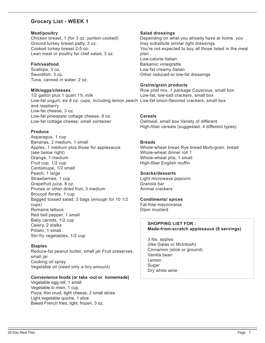# **Grocery List - WEEK 1**

#### **Meat/poultry**

Chicken breast, 1 (for 3 oz. portion cooked) Ground turkey breast patty, 3 oz. Cooked turkey breast 2-5 oz. Lean meat or poultry for chef salad, 3 oz.

#### **Fish/seafood**

Scallops, 3 oz. Swordfish, 3 oz. Tuna, canned in water, 2 oz.

#### **Milk/eggs/cheeses**

1/2 gallon plus 1 quart 1% milk Low-fat yogurt, six 8 oz. cups, including lemon peach Low-fat onion-flavored crackers, small box and raspberry Low-fat cheese, 3 oz. Low-fat pineapple cottage cheese, 8 oz. Low-fat cottage cheese, small container **Cereals**

#### **Produce**

Asparagus, 1 cup Bananas, 2 medium, 1 small Apples, 1 medium plus those for applesauce (see below right) Orange, 1 medium Fruit cup, 1/2 cup Cantaloupe, 1/2 small Peach, 1 large Strawberries, 1 cup Grapefruit juice, 8 oz. Prunes or other dried fruit, 3 medium Broccoli florets, 1 cup Bagged tossed salad, 3 bags (enough for 10 1/2 cups) Romaine lettuce Red bell pepper, 1 small Baby carrots, 1/2 cup Celery, 2 stalks Potato, 1 small Stir-fry vegetables, 1/2 cup

#### **Staples**

Reduce-fat peanut butter, small jar Fruit preserves, small jar Cooking oil spray Vegetable oil (need only a tiny amount)

#### **Convenience foods (or take -out or homemade)**

Vegetable egg roll, 1 small Vegetable lo mien, 1 cup Pizza, thin crust, light cheese, 2 small slices Light vegetable quiche, 1 slice Baked French fries, light, frozen, 3 oz.

#### **Salad dressings**

Depending on what you already have at home, you may substitute similar light dressings. You're not expected to buy all those listed in the meal plan . Low-calorie Italian Balsamic vinaigrette Low-fat creamy Italian Other reduced-or low-fat dressings

#### **Grains/grain products**

Rice pilaf mix, 1 package Couscous, small box Low-fat, low-salt crackers, small box

Oatmeal, small box Variety of different High-fiber cereals (suggested: 4 different types)

#### **Breads**

Whole-wheat bread Rye bread Multi-grain bread Whole-wheat dinner roll 1 Whole-wheat pita, 1 small High-fiber English muffin

#### **Snacks/desserts**

Light microwave popcorn Granola bar Animal crackers

# **Condiments/ spices**

Fat-free mayonnaise Dijon mustard

#### **SHOPPING LIST FOR : Made-from-scratch applesauce (8 servings)**

3 lbs. apples (like Galas or McIntosh) Cinnamon (stick or ground) Vanilla bean Lemon **Sugar** Dry white wine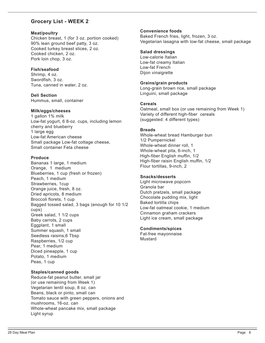# **Grocery List - WEEK 2**

#### **Meat/poultry**

Chicken breast, 1 (for 3 oz. portion cooked) 90% lean ground beef patty, 3 oz. Cooked turkey breast slices, 2 oz. Cooked chicken, 2 oz. Pork loin chop, 3 oz.

#### **Fish/seafood**

Shrimp, 4 oz. Swordfish, 3 oz. Tuna, canned in water, 2 oz.

**Deli Section** Hummus, small, container

#### **Milk/eggs/cheeses**

1 gallon 1% milk Low-fat yogurt, 6 8-oz. cups, including lemon cherry and blueberry 1 large egg Low-fat American cheese Small package Low-fat cottage cheese, Small container Feta cheese

#### **Produce**

Bananas 1 large, 1 medium Orange, 1 medium Blueberries, 1 cup (fresh or frozen) Peach, 1 medium Strawberries, 1cup Orange juice, fresh, 8 oz. Dried apricots, 8 medium Broccoli florets, 1 cup Bagged tossed salad, 3 bags (enough for 10 1/2 cups) Greek salad, 1 1/2 cups Baby carrots, 2 cups Eggplant, 1 small Summer squash, 1 small Seedless raisins,6 Tbsp Raspberries, 1/2 cup Pear, 1 medium Diced pineapple, 1 cup Potato, 1 medium Peas, 1 cup

#### **Staples/canned goods**

Reduce-fat peanut butter, small jar (or use remaining from Week 1) Vegetarian lentil soup, 8 oz. can Beans, black or pinto, small can Tomato sauce with green peppers, onions and mushrooms, 16-oz. can Whole-wheat pancake mix, small package Light syrup

#### **Convenience foods**

Baked French fries, light, frozen, 3 oz. Vegetarian lasagna with low-fat cheese, small package

#### **Salad dressings**

Low-calorie Italian Low-fat creamy Italian Low-fat French Dijon vinaigrette

#### **Grains/grain products**

Long-grain brown rice, small package Linguini, small package

#### **Cereals**

Oatmeal, small box (or use remaining from Week 1) Variety of different high-fiber cereals (suggested: 4 different types)

#### **Breads**

Whole-wheat bread Hamburger bun 1/2 Pumpernickel Whole-wheat dinner roll, 1 Whole-wheat pita, 6-inch, 1 High-fiber English muffin, 1/2 High-fiber raisin English muffin, 1/2 Flour tortillas, 9-inch, 2

#### **Snacks/desserts**

Light microwave popcorn Granola bar Dutch pretzels, small package Chocolate pudding mix, light Baked tortilla chips Low-fat oatmeal cookie, 1 medium Cinnamon graham crackers Light ice cream, small package

#### **Condiments/spices**

Fat-free mayonnaise Mustard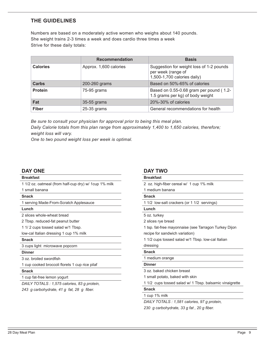# **THE GUIDELINES**

Numbers are based on a moderately active women who weighs about 140 pounds. She weight trains 2-3 times a week and does cardio three times a week Strive for these daily totals:

|                 | <b>Recommendation</b>                                                                      | <b>Basis</b>                                                                                  |  |
|-----------------|--------------------------------------------------------------------------------------------|-----------------------------------------------------------------------------------------------|--|
| <b>Calories</b> | Approx. 1,600 calories                                                                     | Suggestion for weight loss of 1-2 pounds<br>per week (range of<br>1,500-1,700 calories daily) |  |
| <b>Carbs</b>    | 200-260 grams                                                                              | Based on 50%-65% of calories                                                                  |  |
| <b>Protein</b>  | Based on 0.55-0.68 gram per pound (1.2-<br>75-95 grams<br>1.5 grams per kg) of body weight |                                                                                               |  |
| Fat             | 35-55 grams                                                                                | $20\% - 30\%$ of calories                                                                     |  |
| <b>Fiber</b>    | 25-35 grams                                                                                | General recommendations for health                                                            |  |

*Be sure to consult your physician for approval prior to being this meal plan. Daily Calorie totals from this plan range from approximately 1,400 to 1,650 calories, therefore; weight loss will vary.*

*One to two pound weight loss per week is optimal.*

# **DAY ONE**

#### **Breakfast**

1 1/2 oz. oatmeal (from half-cup dry) w/ 1cup 1% milk

1 small banana

#### **Snack**

1 serving Made-From-Scratch Applesauce

#### **Lunch**

2 slices whole-wheat bread

2 Tbsp. reduced-fat peanut butter

1 1/ 2 cups tossed salad w/1 Tbsp.

low-cal Italian dressing 1 cup 1% milk

#### **Snack**

3 cups light microwave popcorn

#### **Dinner**

3 oz. broiled swordfish

1 cup cooked broccoli florets 1 cup rice pilaf

#### **Snack**

1 cup fat-free lemon yogurt

*DAILY TOTALS : 1,575 calories, 83 g protein,*

*243 g carbohydrate, 41 g fat, 28 g fber.*

#### **DAY TWO**

# **Breakfast** 2 oz. high-fber cereal w/ 1 cup 1% milk 1 medium banana **Snack** 1 1/2 low-salt crackers (or 1 1/2 servings) **Lunch** 5 oz. turkey 2 slices rye bread 1 tsp. fat-free mayonnaise (see Tarragon Turkey Dijon recipe for sandwich variation) 1 1/2 cups tossed salad w/1 Tbsp. low-cal Italian dressing **Snack** 1 medium orange **Dinner** 3 oz. baked chicken breast 1 small potato, baked with skin 1 1/2 cups tossed salad w/ 1 Tbsp. balsamic vinaigrette

#### **Snack**

1 cup 1% milk

*DAILY TOTALS : 1,581 calories, 97 g protein,*

*230 g carbohydrate, 33 g fat , 20 g fber.*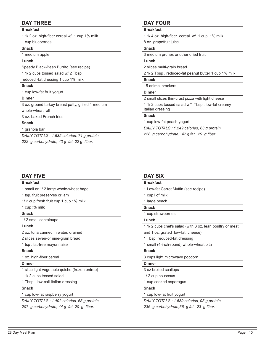# **DAY THREE**

#### **Breakfast**

1 1/ 2 oz. high-fber cereal w/ 1 cup 1% milk

1 cup blueberries

#### **Snack**

1 medium apple

#### **Lunch**

Speedy Black-Bean Burrito (see recipe)

1 1/ 2 cups tossed salad w/ 2 Tbsp.

reduced -fat dressing 1 cup 1% milk

#### **Snack**

1 cup low-fat fruit yogurt

#### **Dinner**

3 oz. ground turkey breast patty, grilled 1 medium whole-wheat roll

3 oz. baked French fries

#### **Snack**

1 granola bar

*DAILY TOTALS : 1,535 calories, 74 g protein, 222 g carbohydrate, 43 g fat, 22 g fber.*

#### **DAY FIVE**

#### **Breakfast**

1 small or 1/ 2 large whole-wheat bagel

1 tsp. fruit preserves or jam

1/ 2 cup fresh fruit cup 1 cup 1% milk

1 cup !% milk

**Snack**

1/ 2 small cantaloupe

# **Lunch**

2 oz. tuna canned in water, drained

2 slices seven-or nine-grain bread

1 tsp . fat-free mayonnaise

#### **Snack**

1 oz. high-fiber cereal

#### **Dinner**

1 slice light vegetable quiche (frozen entree)

1 1/ 2 cups tossed salad

1 Tbsp . low-call Italian dressing

#### **Snack**

1 cup low-fat raspberry yogurt

*DAILY TOTALS : 1,492 calories, 65 g protein,*

*207 g carbohydrate, 44 g fat, 20 g fber.*

# **DAY FOUR**

#### **Breakfast**

1 1/ 4 oz. high-fber cereal w/ 1 cup 1% milk

#### 8 oz. grapefruit juice

#### **Snack**

3 medium prunes or other dried fruit

#### **Lunch**

2 slices multi-grain bread

2 1/ 2 Tbsp . reduced-fat peanut butter 1 cup 1% milk

#### **Snack**

15 animal crackers

#### **Dinner**

2 small slices thin-crust pizza with light cheese

1 1/ 2 cups tossed salad w/1 Tbsp . low-fat creamy Italian dressing

#### **Snack**

1 cup low-fat peach yogurt

*DAILY TOTALS : 1,549 calories, 63 g protein, 228 g carbohydrate, 47 g fat , 29 g fber.*

# **DAY SIX**

# **Breakfast**

- 1 Low-fat Carrot Muffin (see recipe)
- 1 cup l of milk
- 1 large peach

#### **Snack**

1 cup strawberries

#### **Lunch**

1 1/ 2 cups chef's salad (with 3 oz. lean poultry or meat

and 1 oz. grated low-fat cheese)

- 1 Tbsp. reduced-fat dressing
- 1 small (4-inch-round) whole-wheat pita

#### **Snack**

3 cups light microwave popcorn

#### **Dinner**

3 oz broiled scallops

1/ 2 cup couscous

1 cup cooked asparagus

#### **Snack**

1 cup low-fat fruit yogurt

*DAILY TOTALS : 1,589 calories, 95 g protein,*

*236 g carbohydrate,36 g fat , 23 g fber.*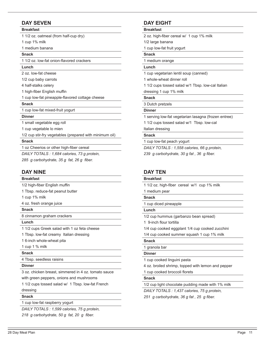# **DAY SEVEN**

#### **Breakfast**

1 1/2 oz. oatmeal (from half-cup dry)

1 cup 1% milk

1 medium banana

# **Snack**

1 1/2 oz. low-fat onion-favored crackers

#### **Lunch**

2 oz. low-fat cheese

1/2 cup baby carrots

4 half-stalks celery

1 high-fiber English muffin

1 cup low-fat pineapple-favored cottage cheese

#### **Snack**

1 cup low-fat mixed-fruit yogurt

#### **Dinner**

1 small vegetable egg roll

1 cup vegetable lo mien

1/2 cup stir-fry vegetables (prepared with minimum oil)

#### **Snack**

1 oz Cheerios or other high-fber cereal

*DAILY TOTALS : 1,684 calories, 73 g protein,*

*285 g carbohydrate, 35 g fat, 26 g fber.*

#### **DAY NINE**

#### **Breakfast**

| 1/2 high-fiber English muffin |  |  |  |
|-------------------------------|--|--|--|
|                               |  |  |  |

1 Tbsp. reduce-fat peanut butter

1 cup 1% milk

4 oz. fresh orange juice

#### **Snack**

8 cinnamon graham crackers

**Lunch**

1 1/2 cups Greek salad with 1 oz feta cheese

1 Tbsp. low-fat creamy Italian dressing

1 6-inch whole-wheat pita

1 cup 1 % milk

#### **Snack**

4 Tbsp. seedless raisins

#### **Dinner**

3 oz. chicken breast, simmered in 4 oz. tomato sauce

with green peppers, onions and mushrooms

1 1/2 cups tossed salad w/ 1 Tbsp. low-fat French dressing

#### **Snack**

1 cup low-fat raspberry yogurt

*DAILY TOTALS : 1,599 calories, 75 g protein, 218 g carbohydrate, 50 g fat, 20 g fber.*

# **DAY EIGHT**

#### **Breakfast**

2 oz. high-fber cereal w/ 1 cup 1% milk

# 1/2 large banana

1 cup low-fat fruit yogurt

# **Snack**

1 medium orange

# **Lunch**

1 cup vegetarian lentil soup (canned)

1 whole-wheat dinner roll

1 1/2 cups tossed salad w/1 Tbsp. low-cal Italian

#### dressing 1 cup 1% milk

**Snack**

3 Dutch pretzels

# **Dinner**

1 serving low-fat vegetarian lasagna (frozen entree)

1 1/2 cups tossed salad w/1 Tbsp. low-cal

Italian dressing **Snack**

1 cup low-fat peach yogurt

*DAILY TOTALS : 1,558 calories, 66 g protein,*

*239 g carbohydrate, 30 g fat , 36 g fber.*

# **DAY TEN**

#### **Breakfast**

1 1/2 oz. high-fber cereal w/1 cup 1% milk

# 1 medium pear

**Snack**

1 cup diced pineapple

#### **Lunch**

1/2 cup hummus (garbanzo bean spread)

1 9-inch flour tortilla

1/4 cup cooked eggplant 1/4 cup cooked zucchini

1/4 cup cooked summer squash 1 cup 1% milk

#### **Snack**

1 granola bar

#### **Dinner**

1 cup cooked linguini pasta

4 oz. broiled shrimp, topped with lemon and pepper

1 cup cooked broccoli florets

#### **Snack**

1/2 cup light chocolate pudding made with 1% milk

*DAILY TOTALS : 1,437 calories, 75 g protein,*

*251 g carbohydrate, 36 g fat , 25 g fber.*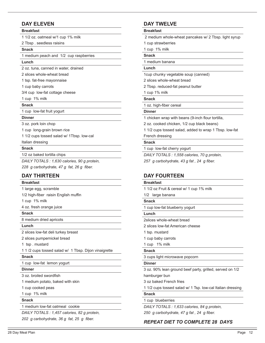# **DAY ELEVEN**

#### **Breakfast**

1 1/2 oz. oatmeal w/1 cup 1% milk

2 Tbsp . seedless raisins

#### **Snack**

1 medium peach and 1/2 cup raspberries

# **Lunch**

2 oz. tuna, canned in water, drained

2 slices whole-wheat bread

1 tsp. fat-free mayonnaise

1 cup baby carrots

3/4 cup low-fat cottage cheese

#### 1 cup 1% milk

#### **Snack**

1 cup low-fat fruit yogurt

#### **Dinner**

3 oz. pork loin chop

1 cup long-grain brown rice

1 1/2 cups tossed salad w/ 1Tbsp. low-cal

#### Italian dressing

#### **Snack**

1/2 oz baked tortilla chips

*DAILY TOTALS : 1,630 calories, 90 g protein, 228 g carbohydrate, 47 g fat, 26 g fber.*

#### **DAY THIRTEEN**

#### **Breakfast**

| 1 large egg, scramble |                                      |
|-----------------------|--------------------------------------|
|                       | 1/2 high-fiber raisin English muffin |

1 cup 1% milk

4 oz. fresh orange juice

#### **Snack**

8 medium dried apricots

**Lunch**

2 slices low-fat deli turkey breast

2 slices pumpernickel bread

1 tsp . mustard

1 1 /2 cups tossed salad w/ 1 Tbsp. Dijon vinaigrette

#### **Snack**

1 cup low-fat lemon yogurt

**Dinner**

3 oz. broiled swordfsh

1 medium potato, baked with skin

1 cup cooked peas

1 cup 1% milk

#### **Snack**

1 medium low-fat oatmeal cookie

*DAILY TOTALS : 1,457 calories, 82 g protein, 202 g carbohydrate, 36 g fat, 25 g fber.*

# **DAY TWELVE**

#### **Breakfast**

2 medium whole-wheat pancakes w/ 2 Tbsp. light syrup

1 cup strawberries

1 cup 1% milk

# **Snack**

1 medium banana

# **Lunch**

1cup chunky vegetable soup (canned)

2 slices whole-wheat bread

2 Tbsp. reduced-fat peanut butter

#### 1 cup 1% milk

**Snack**

1 oz. high-fiber cereal

#### **Dinner**

1 chicken wrap with beans (9-inch four tortilla,

2 oz. cooked chicken, 1/2 cup black beans)

1 1/2 cups tossed salad, added to wrap 1 Tbsp. low-fat

French dressing

#### **Snack**

1 cup low-fat cherry yogurt

*DAILY TOTALS : 1,558 calories, 70 g protein,*

*257 g carbohydrate, 43 g fat , 24 g fber.*

# **DAY FOURTEEN**

#### **Breakfast**

1 1/2 oz Fruit & cereal w/ 1 cup 1% milk

#### 1/2 large banana

#### **Snack**

1 cup low-fat blueberry yogurt

#### **Lunch**

2slices whole-wheat bread

2 slices low-fat American cheese

- 1 tsp. mustard
- 1 cup baby carrots

1 cup 1% milk

#### **Snack**

3 cups light microwave popcorn

#### **Dinner**

3 oz. 90% lean ground beef party, grilled, served on 1/2

hamburger bun

3 oz baked French fries

1 1/2 cups tossed salad w/ 1 Tsp. low-cal Italian dressing

#### **Snack**

1 cup blueberries

*DAILY TOTALS : 1,633 calories, 84 g protein,*

*250 g carbohydrate, 47 g fat , 24 g fber.*

# *REPEAT DIET TO COMPLETE 28 DAYS*